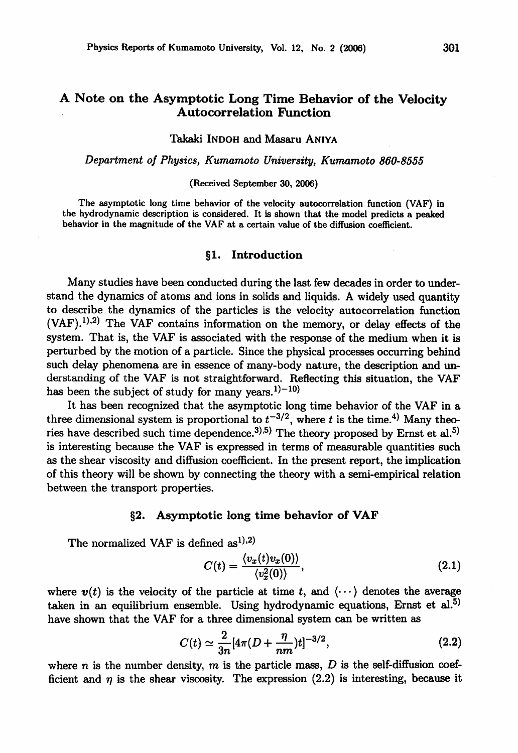# A Note on the Asymptotic Long Time Behavior of the Velocity Autocorrelation Function

Takaki INDOH and Masaru ANIYA

#### Department of Physics, Kumamoto University, Kumamoto 860-8555

#### (Received September 30, 2006)

The asymptotic long time behavior of the velocity autocorrelation function (VAF) in the hydrodynamic description is considered. It is shown that the model predicts a peaked behavior in the magnitude of the VAF at a certain value of the diffusion coefficient.

# §1. Introduction

Many studies have been conducted during the last few decades in order to under stand the dynamics of atoms and ions in solids and liquids. A widely used quantity to describe the dynamics of the particles is the velocity autocorrelation function  $(VAF)$ .<sup>1),2)</sup> The VAF contains information on the memory, or delay effects of the system. That is, the VAF is associated with the response of the medium when it is perturbed by the motion of a particle. Since the physical processes occurring behind such delay phenomena are in essence of many-body nature, the description and un derstanding of the VAF is not straightforward. Reflecting this situation, the VAF has been the subject of study for many years.<sup>1)-10)</sup>

It has been recognized that the asymptotic long time behavior of the VAF in three dimensional system is proportional to  $t^{-3/2}$ , where t is the time.<sup>4)</sup> Many theories have described such time dependence.<sup>3),5)</sup> The theory proposed by Ernst et al.<sup>5)</sup> is interesting because the VAF is expressed in terms of measurable quantities such as the shear viscosity and diffusion coefficient. In the present report, the implication of this theory will be shown by connecting the theory with semi-empirical relation between the transport properties.

# §2. Asymptotic long time behavior of VAF

The normalized VAF is defined  $as<sup>1</sup>$ , 2)

$$
C(t) = \frac{\langle v_x(t)v_x(0) \rangle}{\langle v_x^2(0) \rangle},\tag{2.1}
$$

where  $v(t)$  is the velocity of the particle at time t, and  $\langle \cdots \rangle$  denotes the average taken in an equilibrium ensemble. Using hydrodynamic equations, Ernst et al.<sup>5)</sup> have shown that the VAF for a three dimensional system can be written as

$$
C(t) \simeq \frac{2}{3n} [4\pi (D + \frac{\eta}{nm})t]^{-3/2}, \qquad (2.2)
$$

where n is the number density, m is the particle mass, D is the self-diffusion coefficient and  $\eta$  is the shear viscosity. The expression (2.2) is interesting, because it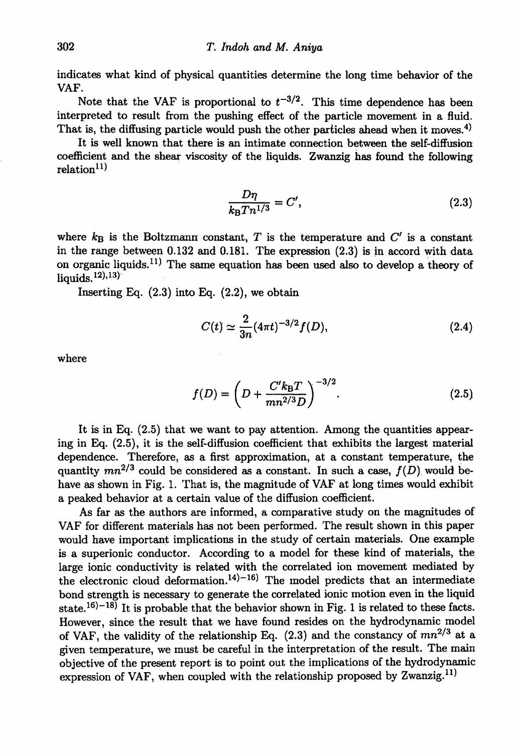indicates what kind of physical quantities determine the long time behavior of the VAF.

Note that the VAF is proportional to  $t^{-3/2}$ . This time dependence has been interpreted to result from the pushing effect of the particle movement in a fluid. That is, the diffusing particle would push the other particles ahead when it moves.<sup>4)</sup>

It is well known that there is an intimate connection between the self-diffusion coefficient and the shear viscosity of the liquids. Zwanzig has found the following  $relation<sup>11</sup>$ 

$$
\frac{D\eta}{k_{\rm B}T n^{1/3}} = C',\tag{2.3}
$$

where  $k_B$  is the Boltzmann constant, T is the temperature and  $C'$  is a constant in the range between 0.132 and 0.181. The expression (2.3) is in accord with data on organic liquids.<sup>11)</sup> The same equation has been used also to develop a theory of liquids. $(12)$ , $(13)$ 

Inserting Eq. (2.3) into Eq. (2.2), we obtain

$$
C(t) \simeq \frac{2}{3n} (4\pi t)^{-3/2} f(D), \qquad (2.4)
$$

where

$$
f(D) = \left(D + \frac{C'k_B T}{mn^{2/3}D}\right)^{-3/2}.
$$
 (2.5)

It is in Eq. (2.5) that we want to pay attention. Among the quantities appear ing in Eq. (2.5), it is the self-diffusion coefficient that exhibits the largest material dependence. Therefore, as a first approximation, at a constant temperature, the quantity  $mn^{2/3}$  could be considered as a constant. In such a case,  $f(D)$  would behave as shown in Fig. 1. That is, the magnitude of VAF at long times would exhibit a peaked behavior at a certain value of the diffusion coefficient.

As far as the authors are informed, a comparative study on the magnitudes of VAF for different materials has not been performed. The result shown in this paper would have important implications in the study of certain materials. One example is a superionic conductor. According to a model for these kind of materials, the large ionic conductivity is related with the correlated ion movement mediated by the electronic cloud deformation.<sup>14)-16)</sup> The model predicts that an intermediate bond strength is necessary to generate the correlated ionic motion even in the liquid state.<sup>16)-18)</sup> It is probable that the behavior shown in Fig. 1 is related to these facts. However, since the result that we have found resides on the hydrodynamic model of VAF, the validity of the relationship Eq.  $(2.3)$  and the constancy of  $mn^{2/3}$  at a given temperature, we must be careful in the interpretation of the result. The main objective of the present report is to point out the implications of the hydrodynamic expression of VAF, when coupled with the relationship proposed by Zwanzig.11)